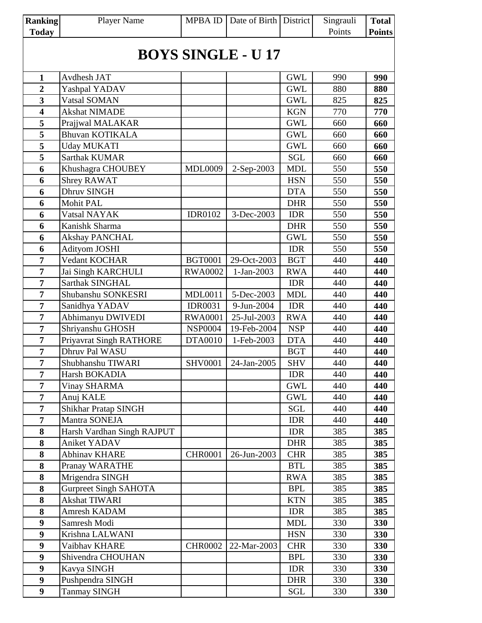| <b>Ranking</b><br><b>Today</b> | <b>Player Name</b>           | <b>MPBA ID</b> | Date of Birth District |            | Singrauli<br>Points | <b>Total</b><br><b>Points</b> |  |  |
|--------------------------------|------------------------------|----------------|------------------------|------------|---------------------|-------------------------------|--|--|
|                                |                              |                |                        |            |                     |                               |  |  |
| <b>BOYS SINGLE - U 17</b>      |                              |                |                        |            |                     |                               |  |  |
| $\mathbf{1}$                   | Avdhesh JAT                  |                |                        | <b>GWL</b> | 990                 | 990                           |  |  |
| $\overline{2}$                 | Yashpal YADAV                |                |                        | <b>GWL</b> | 880                 | 880                           |  |  |
| $\overline{\mathbf{3}}$        | Vatsal SOMAN                 |                |                        | <b>GWL</b> | 825                 | 825                           |  |  |
| $\overline{\mathbf{4}}$        | <b>Akshat NIMADE</b>         |                |                        | <b>KGN</b> | 770                 | 770                           |  |  |
| 5                              | Prajjwal MALAKAR             |                |                        | <b>GWL</b> | 660                 | 660                           |  |  |
| 5                              | <b>Bhuvan KOTIKALA</b>       |                |                        | <b>GWL</b> | 660                 | 660                           |  |  |
| 5                              | <b>Uday MUKATI</b>           |                |                        | <b>GWL</b> | 660                 | 660                           |  |  |
| 5                              | <b>Sarthak KUMAR</b>         |                |                        | <b>SGL</b> | 660                 | 660                           |  |  |
| 6                              | Khushagra CHOUBEY            | <b>MDL0009</b> | 2-Sep-2003             | <b>MDL</b> | 550                 | 550                           |  |  |
| 6                              | <b>Shrey RAWAT</b>           |                |                        | <b>HSN</b> | 550                 | 550                           |  |  |
| 6                              | Dhruv SINGH                  |                |                        | <b>DTA</b> | 550                 | 550                           |  |  |
| 6                              | <b>Mohit PAL</b>             |                |                        | <b>DHR</b> | 550                 | 550                           |  |  |
| 6                              | Vatsal NAYAK                 | <b>IDR0102</b> | 3-Dec-2003             | <b>IDR</b> | 550                 | 550                           |  |  |
| 6                              | Kanishk Sharma               |                |                        | <b>DHR</b> | 550                 | 550                           |  |  |
| 6                              | <b>Akshay PANCHAL</b>        |                |                        | <b>GWL</b> | 550                 | 550                           |  |  |
| 6                              | Adityom JOSHI                |                |                        | <b>IDR</b> | 550                 | 550                           |  |  |
| $\overline{7}$                 | Vedant KOCHAR                | <b>BGT0001</b> | 29-Oct-2003            | <b>BGT</b> | 440                 | 440                           |  |  |
| $\overline{7}$                 | Jai Singh KARCHULI           | <b>RWA0002</b> | 1-Jan-2003             | <b>RWA</b> | 440                 | 440                           |  |  |
| $\overline{7}$                 | Sarthak SINGHAL              |                |                        | <b>IDR</b> | 440                 | 440                           |  |  |
| $\overline{7}$                 | Shubanshu SONKESRI           | <b>MDL0011</b> | 5-Dec-2003             | <b>MDL</b> | 440                 | 440                           |  |  |
| 7                              | Sanidhya YADAV               | <b>IDR0031</b> | 9-Jun-2004             | <b>IDR</b> | 440                 | 440                           |  |  |
| $\overline{7}$                 | Abhimanyu DWIVEDI            | <b>RWA0001</b> | 25-Jul-2003            | <b>RWA</b> | 440                 | 440                           |  |  |
| $\overline{7}$                 | Shriyanshu GHOSH             | <b>NSP0004</b> | 19-Feb-2004            | <b>NSP</b> | 440                 | 440                           |  |  |
| $\overline{7}$                 | Priyavrat Singh RATHORE      | <b>DTA0010</b> | 1-Feb-2003             | <b>DTA</b> | 440                 | 440                           |  |  |
| $\overline{7}$                 | Dhruv Pal WASU               |                |                        | <b>BGT</b> | 440                 | 440                           |  |  |
| $\overline{7}$                 | Shubhanshu TIWARI            | <b>SHV0001</b> | 24-Jan-2005            | <b>SHV</b> | 440                 | 440                           |  |  |
| $\overline{7}$                 | Harsh BOKADIA                |                |                        | <b>IDR</b> | 440                 | 440                           |  |  |
| $\overline{7}$                 | <b>Vinay SHARMA</b>          |                |                        | <b>GWL</b> | 440                 | 440                           |  |  |
| $\overline{7}$                 | Anuj KALE                    |                |                        | <b>GWL</b> | 440                 | 440                           |  |  |
| $\overline{7}$                 | <b>Shikhar Pratap SINGH</b>  |                |                        | <b>SGL</b> | 440                 | 440                           |  |  |
| $\overline{7}$                 | Mantra SONEJA                |                |                        | <b>IDR</b> | 440                 | 440                           |  |  |
| 8                              | Harsh Vardhan Singh RAJPUT   |                |                        | <b>IDR</b> | 385                 | 385                           |  |  |
| 8                              | Aniket YADAV                 |                |                        | <b>DHR</b> | 385                 | 385                           |  |  |
| 8                              | <b>Abhinav KHARE</b>         | <b>CHR0001</b> | 26-Jun-2003            | <b>CHR</b> | 385                 | 385                           |  |  |
| 8                              | Pranay WARATHE               |                |                        | <b>BTL</b> | 385                 | 385                           |  |  |
| 8                              | Mrigendra SINGH              |                |                        | <b>RWA</b> | 385                 | 385                           |  |  |
| 8                              | <b>Gurpreet Singh SAHOTA</b> |                |                        | <b>BPL</b> | 385                 | 385                           |  |  |
| 8                              | <b>Akshat TIWARI</b>         |                |                        | <b>KTN</b> | 385                 | 385                           |  |  |
| 8                              | Amresh KADAM                 |                |                        | <b>IDR</b> | 385                 | 385                           |  |  |
| 9                              | Samresh Modi                 |                |                        | <b>MDL</b> | 330                 | 330                           |  |  |
| 9                              | Krishna LALWANI              |                |                        | <b>HSN</b> | 330                 | 330                           |  |  |
| $\boldsymbol{9}$               | Vaibhav KHARE                | <b>CHR0002</b> | 22-Mar-2003            | <b>CHR</b> | 330                 | 330                           |  |  |
| $\boldsymbol{9}$               | Shivendra CHOUHAN            |                |                        | <b>BPL</b> | 330                 | 330                           |  |  |
| 9                              | Kavya SINGH                  |                |                        | <b>IDR</b> | 330                 | 330                           |  |  |
| $\boldsymbol{9}$               | Pushpendra SINGH             |                |                        | <b>DHR</b> | 330                 | 330                           |  |  |
| 9 <sup>1</sup>                 | <b>Tanmay SINGH</b>          |                |                        | SGL        | 330                 | 330                           |  |  |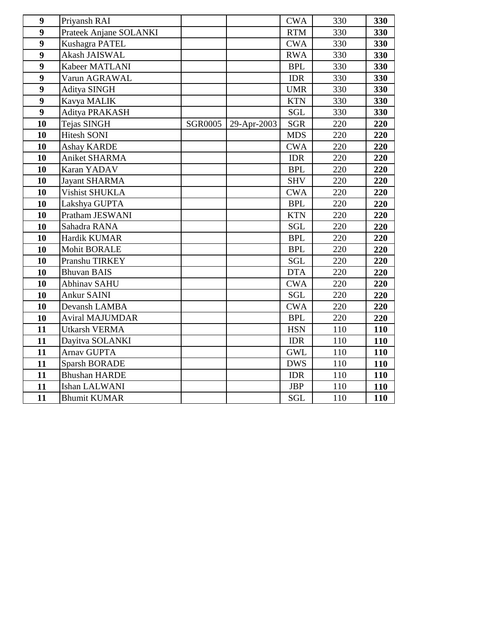| 9                | Priyansh RAI           |                |             | <b>CWA</b> | 330 | 330        |
|------------------|------------------------|----------------|-------------|------------|-----|------------|
| $\boldsymbol{9}$ | Prateek Anjane SOLANKI |                |             | <b>RTM</b> | 330 | 330        |
| $\boldsymbol{9}$ | Kushagra PATEL         |                |             | <b>CWA</b> | 330 | 330        |
| $\boldsymbol{9}$ | Akash JAISWAL          |                |             | <b>RWA</b> | 330 | 330        |
| $\boldsymbol{9}$ | Kabeer MATLANI         |                |             | <b>BPL</b> | 330 | 330        |
| 9                | Varun AGRAWAL          |                |             | <b>IDR</b> | 330 | 330        |
| 9                | Aditya SINGH           |                |             | <b>UMR</b> | 330 | 330        |
| 9                | Kavya MALIK            |                |             | <b>KTN</b> | 330 | 330        |
| 9                | Aditya PRAKASH         |                |             | <b>SGL</b> | 330 | 330        |
| 10               | Tejas SINGH            | <b>SGR0005</b> | 29-Apr-2003 | <b>SGR</b> | 220 | 220        |
| 10               | <b>Hitesh SONI</b>     |                |             | <b>MDS</b> | 220 | 220        |
| 10               | <b>Ashay KARDE</b>     |                |             | <b>CWA</b> | 220 | 220        |
| 10               | Aniket SHARMA          |                |             | <b>IDR</b> | 220 | 220        |
| 10               | Karan YADAV            |                |             | <b>BPL</b> | 220 | 220        |
| 10               | <b>Jayant SHARMA</b>   |                |             | <b>SHV</b> | 220 | 220        |
| 10               | <b>Vishist SHUKLA</b>  |                |             | <b>CWA</b> | 220 | 220        |
| 10               | Lakshya GUPTA          |                |             | <b>BPL</b> | 220 | 220        |
| 10               | Pratham JESWANI        |                |             | <b>KTN</b> | 220 | 220        |
| 10               | Sahadra RANA           |                |             | <b>SGL</b> | 220 | 220        |
| 10               | Hardik KUMAR           |                |             | <b>BPL</b> | 220 | 220        |
| 10               | <b>Mohit BORALE</b>    |                |             | <b>BPL</b> | 220 | 220        |
| 10               | Pranshu TIRKEY         |                |             | <b>SGL</b> | 220 | 220        |
| 10               | <b>Bhuvan BAIS</b>     |                |             | <b>DTA</b> | 220 | 220        |
| 10               | <b>Abhinav SAHU</b>    |                |             | <b>CWA</b> | 220 | 220        |
| 10               | <b>Ankur SAINI</b>     |                |             | SGL        | 220 | 220        |
| 10               | Devansh LAMBA          |                |             | <b>CWA</b> | 220 | 220        |
| 10               | <b>Aviral MAJUMDAR</b> |                |             | <b>BPL</b> | 220 | 220        |
| 11               | <b>Utkarsh VERMA</b>   |                |             | <b>HSN</b> | 110 | 110        |
| 11               | Dayitva SOLANKI        |                |             | <b>IDR</b> | 110 | 110        |
| 11               | Arnav GUPTA            |                |             | <b>GWL</b> | 110 | 110        |
| 11               | <b>Sparsh BORADE</b>   |                |             | <b>DWS</b> | 110 | 110        |
| 11               | <b>Bhushan HARDE</b>   |                |             | <b>IDR</b> | 110 | <b>110</b> |
| 11               | Ishan LALWANI          |                |             | <b>JBP</b> | 110 | 110        |
| 11               | <b>Bhumit KUMAR</b>    |                |             | <b>SGL</b> | 110 | 110        |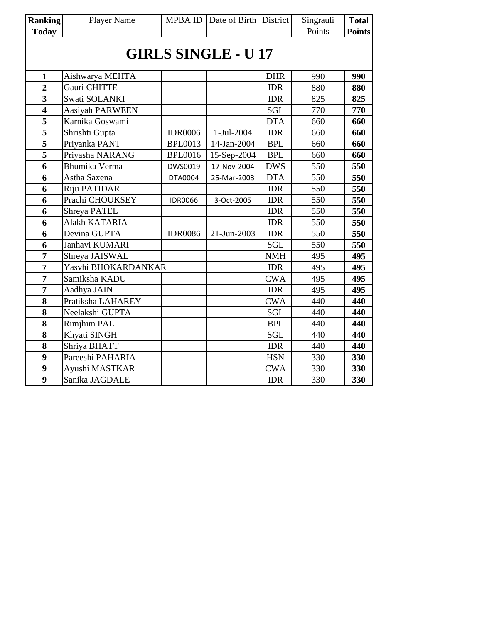| <b>Ranking</b>             | Player Name            | MPBA ID        | Date of Birth District |            | Singrauli | <b>Total</b>  |  |  |  |
|----------------------------|------------------------|----------------|------------------------|------------|-----------|---------------|--|--|--|
| <b>Today</b>               |                        |                |                        |            | Points    | <b>Points</b> |  |  |  |
| <b>GIRLS SINGLE - U 17</b> |                        |                |                        |            |           |               |  |  |  |
| $\mathbf{1}$               | Aishwarya MEHTA        |                |                        | <b>DHR</b> | 990       | 990           |  |  |  |
| $\overline{2}$             | Gauri CHITTE           |                |                        | <b>IDR</b> | 880       | 880           |  |  |  |
| 3                          | Swati SOLANKI          |                |                        | <b>IDR</b> | 825       | 825           |  |  |  |
| $\overline{\mathbf{4}}$    | <b>Aasiyah PARWEEN</b> |                |                        | <b>SGL</b> | 770       | 770           |  |  |  |
| 5                          | Karnika Goswami        |                |                        | <b>DTA</b> | 660       | 660           |  |  |  |
| $\overline{\mathbf{5}}$    | Shrishti Gupta         | <b>IDR0006</b> | 1-Jul-2004             | <b>IDR</b> | 660       | 660           |  |  |  |
| 5                          | Priyanka PANT          | <b>BPL0013</b> | 14-Jan-2004            | <b>BPL</b> | 660       | 660           |  |  |  |
| 5                          | Priyasha NARANG        | <b>BPL0016</b> | 15-Sep-2004            | <b>BPL</b> | 660       | 660           |  |  |  |
| 6                          | Bhumika Verma          | DWS0019        | 17-Nov-2004            | <b>DWS</b> | 550       | 550           |  |  |  |
| 6                          | Astha Saxena           | DTA0004        | 25-Mar-2003            | <b>DTA</b> | 550       | 550           |  |  |  |
| 6                          | Riju PATIDAR           |                |                        | <b>IDR</b> | 550       | 550           |  |  |  |
| 6                          | Prachi CHOUKSEY        | <b>IDR0066</b> | 3-Oct-2005             | <b>IDR</b> | 550       | 550           |  |  |  |
| 6                          | Shreya PATEL           |                |                        | <b>IDR</b> | 550       | 550           |  |  |  |
| 6                          | Alakh KATARIA          |                |                        | <b>IDR</b> | 550       | 550           |  |  |  |
| 6                          | Devina GUPTA           | <b>IDR0086</b> | 21-Jun-2003            | <b>IDR</b> | 550       | 550           |  |  |  |
| 6                          | Janhavi KUMARI         |                |                        | <b>SGL</b> | 550       | 550           |  |  |  |
| 7                          | Shreya JAISWAL         |                |                        | <b>NMH</b> | 495       | 495           |  |  |  |
| $\overline{7}$             | Yasvhi BHOKARDANKAR    |                |                        | <b>IDR</b> | 495       | 495           |  |  |  |
| 7                          | Samiksha KADU          |                |                        | <b>CWA</b> | 495       | 495           |  |  |  |
| 7                          | Aadhya JAIN            |                |                        | <b>IDR</b> | 495       | 495           |  |  |  |
| 8                          | Pratiksha LAHAREY      |                |                        | <b>CWA</b> | 440       | 440           |  |  |  |
| 8                          | Neelakshi GUPTA        |                |                        | <b>SGL</b> | 440       | 440           |  |  |  |
| 8                          | <b>Rimjhim PAL</b>     |                |                        | <b>BPL</b> | 440       | 440           |  |  |  |
| 8                          | Khyati SINGH           |                |                        | <b>SGL</b> | 440       | 440           |  |  |  |
| 8                          | Shriya BHATT           |                |                        | <b>IDR</b> | 440       | 440           |  |  |  |
| 9                          | Pareeshi PAHARIA       |                |                        | <b>HSN</b> | 330       | 330           |  |  |  |
| 9                          | Ayushi MASTKAR         |                |                        | <b>CWA</b> | 330       | 330           |  |  |  |
| 9                          | Sanika JAGDALE         |                |                        | <b>IDR</b> | 330       | 330           |  |  |  |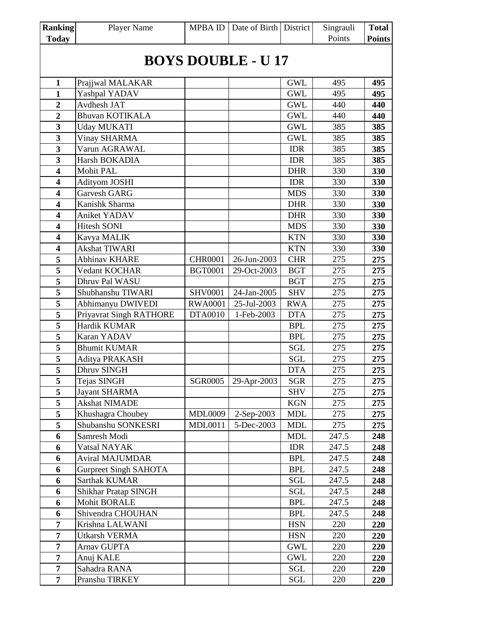| <b>Ranking</b>            | <b>Player Name</b>           | <b>MPBAID</b>  | Date of Birth District |            | Singrauli | <b>Total</b>  |  |  |
|---------------------------|------------------------------|----------------|------------------------|------------|-----------|---------------|--|--|
| <b>Today</b>              |                              |                |                        |            | Points    | <b>Points</b> |  |  |
|                           |                              |                |                        |            |           |               |  |  |
| <b>BOYS DOUBLE - U 17</b> |                              |                |                        |            |           |               |  |  |
| $\mathbf{1}$              | Prajjwal MALAKAR             |                |                        | <b>GWL</b> | 495       | 495           |  |  |
| $\mathbf{1}$              | Yashpal YADAV                |                |                        | <b>GWL</b> | 495       | 495           |  |  |
| $\overline{2}$            | Avdhesh JAT                  |                |                        | <b>GWL</b> | 440       | 440           |  |  |
| $\overline{2}$            | <b>Bhuvan KOTIKALA</b>       |                |                        | <b>GWL</b> | 440       | 440           |  |  |
| $\overline{\mathbf{3}}$   | <b>Uday MUKATI</b>           |                |                        | <b>GWL</b> | 385       | 385           |  |  |
| $\overline{\mathbf{3}}$   | <b>Vinay SHARMA</b>          |                |                        | <b>GWL</b> | 385       | 385           |  |  |
| $\overline{\mathbf{3}}$   | Varun AGRAWAL                |                |                        | <b>IDR</b> | 385       | 385           |  |  |
| $\overline{\mathbf{3}}$   | Harsh BOKADIA                |                |                        | <b>IDR</b> | 385       | 385           |  |  |
| $\overline{\mathbf{4}}$   | Mohit PAL                    |                |                        | <b>DHR</b> | 330       | 330           |  |  |
| $\overline{\mathbf{4}}$   | <b>Adityom JOSHI</b>         |                |                        | <b>IDR</b> | 330       | 330           |  |  |
| $\overline{\mathbf{4}}$   | Garvesh GARG                 |                |                        | <b>MDS</b> | 330       | 330           |  |  |
| $\overline{\mathbf{4}}$   | Kanishk Sharma               |                |                        | <b>DHR</b> | 330       | 330           |  |  |
| $\overline{\mathbf{4}}$   | Aniket YADAV                 |                |                        | <b>DHR</b> | 330       | 330           |  |  |
| $\overline{\mathbf{4}}$   | <b>Hitesh SONI</b>           |                |                        | <b>MDS</b> | 330       | 330           |  |  |
| $\overline{\mathbf{4}}$   | Kavya MALIK                  |                |                        | <b>KTN</b> | 330       | 330           |  |  |
| $\overline{\mathbf{4}}$   | <b>Akshat TIWARI</b>         |                |                        | <b>KTN</b> | 330       | 330           |  |  |
| 5                         | <b>Abhinav KHARE</b>         | <b>CHR0001</b> | 26-Jun-2003            | <b>CHR</b> | 275       | 275           |  |  |
| $\overline{\mathbf{5}}$   | Vedant KOCHAR                | <b>BGT0001</b> | 29-Oct-2003            | <b>BGT</b> | 275       | 275           |  |  |
| 5                         | Dhruv Pal WASU               |                |                        | <b>BGT</b> | 275       | 275           |  |  |
| 5                         | Shubhanshu TIWARI            | <b>SHV0001</b> | 24-Jan-2005            | <b>SHV</b> | 275       | 275           |  |  |
| 5                         | Abhimanyu DWIVEDI            | <b>RWA0001</b> | 25-Jul-2003            | <b>RWA</b> | 275       | 275           |  |  |
| $\overline{5}$            | Priyavrat Singh RATHORE      | <b>DTA0010</b> | 1-Feb-2003             | <b>DTA</b> | 275       | 275           |  |  |
| 5                         | Hardik KUMAR                 |                |                        | <b>BPL</b> | 275       | 275           |  |  |
| 5                         | Karan YADAV                  |                |                        | <b>BPL</b> | 275       | 275           |  |  |
| $\overline{\mathbf{5}}$   | <b>Bhumit KUMAR</b>          |                |                        | <b>SGL</b> | 275       | 275           |  |  |
| 5                         | Aditya PRAKASH               |                |                        | <b>SGL</b> | 275       | 275           |  |  |
| $\overline{\mathbf{5}}$   | <b>Dhruv SINGH</b>           |                |                        | <b>DTA</b> | 275       | 275           |  |  |
| 5                         | Tejas SINGH                  | <b>SGR0005</b> | 29-Apr-2003            | <b>SGR</b> | 275       | 275           |  |  |
| 5                         | Jayant SHARMA                |                |                        | <b>SHV</b> | 275       | 275           |  |  |
| 5                         | <b>Akshat NIMADE</b>         |                |                        | <b>KGN</b> | 275       | 275           |  |  |
| $\overline{\mathbf{5}}$   | Khushagra Choubey            | <b>MDL0009</b> | 2-Sep-2003             | <b>MDL</b> | 275       | 275           |  |  |
| 5                         | Shubanshu SONKESRI           | <b>MDL0011</b> | 5-Dec-2003             | <b>MDL</b> | 275       | 275           |  |  |
| 6                         | Samresh Modi                 |                |                        | <b>MDL</b> | 247.5     | 248           |  |  |
| 6                         | Vatsal NAYAK                 |                |                        | <b>IDR</b> | 247.5     | 248           |  |  |
| 6                         | <b>Aviral MAJUMDAR</b>       |                |                        | <b>BPL</b> | 247.5     | 248           |  |  |
| 6                         | <b>Gurpreet Singh SAHOTA</b> |                |                        | <b>BPL</b> | 247.5     | 248           |  |  |
| 6                         | Sarthak KUMAR                |                |                        | <b>SGL</b> | 247.5     | 248           |  |  |
| 6                         | Shikhar Pratap SINGH         |                |                        | SGL        | 247.5     | 248           |  |  |
| 6                         | <b>Mohit BORALE</b>          |                |                        | <b>BPL</b> | 247.5     | 248           |  |  |
| 6                         | Shivendra CHOUHAN            |                |                        | <b>BPL</b> | 247.5     | 248           |  |  |
| $\overline{7}$            | Krishna LALWANI              |                |                        | <b>HSN</b> | 220       | 220           |  |  |
| $\overline{7}$            | <b>Utkarsh VERMA</b>         |                |                        | <b>HSN</b> | 220       | 220           |  |  |
| 7                         | Arnav GUPTA                  |                |                        | <b>GWL</b> | 220       | 220           |  |  |
| $\overline{7}$            | Anuj KALE                    |                |                        | <b>GWL</b> | 220       | 220           |  |  |
| $\overline{7}$            | Sahadra RANA                 |                |                        | SGL        | 220       | 220           |  |  |
| $\overline{7}$            | Pranshu TIRKEY               |                |                        | SGL        | 220       | 220           |  |  |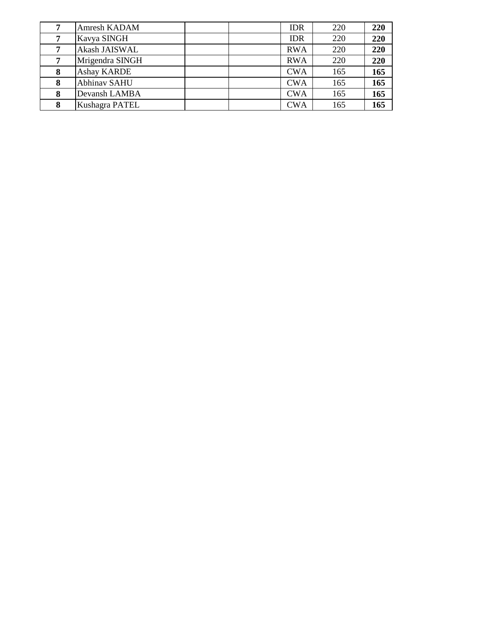|   | <b>Amresh KADAM</b> | <b>IDR</b> | 220 | 220 |
|---|---------------------|------------|-----|-----|
|   | Kavya SINGH         | <b>IDR</b> | 220 | 220 |
|   | Akash JAISWAL       | <b>RWA</b> | 220 | 220 |
| 7 | Mrigendra SINGH     | <b>RWA</b> | 220 | 220 |
| 8 | <b>Ashay KARDE</b>  | <b>CWA</b> | 165 | 165 |
| 8 | <b>Abhinav SAHU</b> | <b>CWA</b> | 165 | 165 |
| 8 | Devansh LAMBA       | <b>CWA</b> | 165 | 165 |
| 8 | Kushagra PATEL      | <b>CWA</b> | 165 | 165 |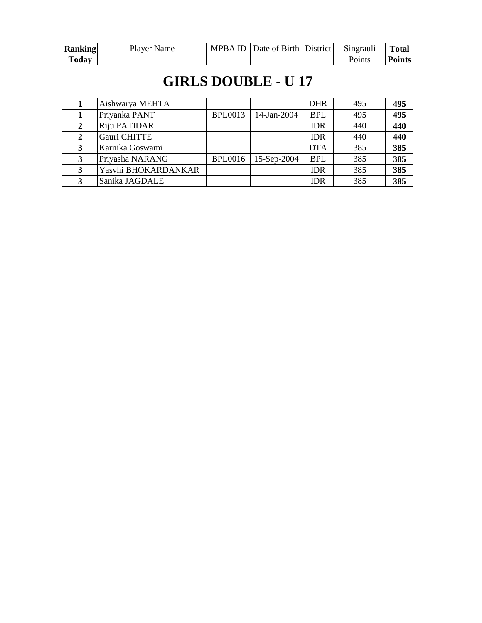| <b>Ranking</b>             | Player Name         | <b>MPBA ID</b> | Date of Birth | <b>District</b> | Singrauli | <b>Total</b>  |  |  |  |
|----------------------------|---------------------|----------------|---------------|-----------------|-----------|---------------|--|--|--|
| <b>Today</b>               |                     |                |               |                 | Points    | <b>Points</b> |  |  |  |
| <b>GIRLS DOUBLE - U 17</b> |                     |                |               |                 |           |               |  |  |  |
|                            | Aishwarya MEHTA     |                |               | <b>DHR</b>      | 495       | 495           |  |  |  |
|                            | Priyanka PANT       | <b>BPL0013</b> | 14-Jan-2004   | <b>BPL</b>      | 495       | 495           |  |  |  |
| 2                          | Riju PATIDAR        |                |               | <b>IDR</b>      | 440       | 440           |  |  |  |
| $\mathbf{2}$               | Gauri CHITTE        |                |               | <b>IDR</b>      | 440       | 440           |  |  |  |
| 3                          | Karnika Goswami     |                |               | <b>DTA</b>      | 385       | 385           |  |  |  |
| 3                          | Priyasha NARANG     | <b>BPL0016</b> | 15-Sep-2004   | <b>BPL</b>      | 385       | 385           |  |  |  |
| 3                          | Yasvhi BHOKARDANKAR |                |               | <b>IDR</b>      | 385       | 385           |  |  |  |
| 3                          | Sanika JAGDALE      |                |               | <b>IDR</b>      | 385       | 385           |  |  |  |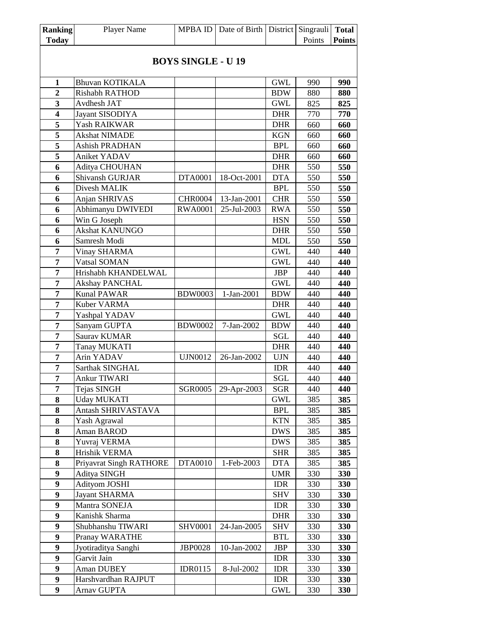| <b>Ranking</b>          | <b>Player Name</b>      | <b>MPBAID</b>             | Date of Birth   District |            | Singrauli | <b>Total</b>  |
|-------------------------|-------------------------|---------------------------|--------------------------|------------|-----------|---------------|
| <b>Today</b>            |                         |                           |                          |            | Points    | <b>Points</b> |
|                         |                         |                           |                          |            |           |               |
|                         |                         | <b>BOYS SINGLE - U 19</b> |                          |            |           |               |
|                         |                         |                           |                          |            |           |               |
| 1                       | <b>Bhuvan KOTIKALA</b>  |                           |                          | <b>GWL</b> | 990       | 990           |
| $\overline{2}$          | Rishabh RATHOD          |                           |                          | <b>BDW</b> | 880       | 880           |
| 3                       | Avdhesh JAT             |                           |                          | <b>GWL</b> | 825       | 825           |
| $\overline{\mathbf{4}}$ | Jayant SISODIYA         |                           |                          | <b>DHR</b> | 770       | 770           |
| 5                       | Yash RAIKWAR            |                           |                          | <b>DHR</b> | 660       | 660           |
| 5                       | Akshat NIMADE           |                           |                          | <b>KGN</b> | 660       | 660           |
| $\overline{\mathbf{5}}$ | Ashish PRADHAN          |                           |                          | <b>BPL</b> | 660       | 660           |
| 5                       | Aniket YADAV            |                           |                          | <b>DHR</b> | 660       | 660           |
| 6                       | Aditya CHOUHAN          |                           |                          | <b>DHR</b> | 550       | 550           |
| 6                       | Shivansh GURJAR         | <b>DTA0001</b>            | 18-Oct-2001              | <b>DTA</b> | 550       | 550           |
| 6                       | Divesh MALIK            |                           |                          | <b>BPL</b> | 550       | 550           |
| 6                       | Anjan SHRIVAS           | <b>CHR0004</b>            | 13-Jan-2001              | <b>CHR</b> | 550       | 550           |
| 6                       | Abhimanyu DWIVEDI       | <b>RWA0001</b>            | 25-Jul-2003              | <b>RWA</b> | 550       | 550           |
| 6                       | Win G Joseph            |                           |                          | <b>HSN</b> | 550       | 550           |
| 6                       | Akshat KANUNGO          |                           |                          | <b>DHR</b> | 550       | 550           |
| 6                       | Samresh Modi            |                           |                          | MDL        | 550       | 550           |
| 7                       | Vinay SHARMA            |                           |                          | <b>GWL</b> | 440       | 440           |
| $\overline{7}$          | Vatsal SOMAN            |                           |                          | <b>GWL</b> | 440       | 440           |
| 7                       | Hrishabh KHANDELWAL     |                           |                          | <b>JBP</b> | 440       | 440           |
| $\overline{7}$          | <b>Akshay PANCHAL</b>   |                           |                          | <b>GWL</b> | 440       | 440           |
| $\overline{7}$          | <b>Kunal PAWAR</b>      | <b>BDW0003</b>            | 1-Jan-2001               | <b>BDW</b> | 440       | 440           |
| $\overline{7}$          | Kuber VARMA             |                           |                          | <b>DHR</b> | 440       | 440           |
| $\overline{7}$          | Yashpal YADAV           |                           |                          | <b>GWL</b> | 440       | 440           |
| 7                       | Sanyam GUPTA            | <b>BDW0002</b>            | 7-Jan-2002               | <b>BDW</b> | 440       | 440           |
| $\overline{7}$          | Saurav KUMAR            |                           |                          | SGL        | 440       | 440           |
| $\overline{7}$          | <b>Tanay MUKATI</b>     |                           |                          | <b>DHR</b> | 440       | 440           |
| 7                       | Arin YADAV              | <b>UJN0012</b>            | 26-Jan-2002              | <b>UJN</b> | 440       | 440           |
| $\overline{7}$          | Sarthak SINGHAL         |                           |                          | <b>IDR</b> | 440       | 440           |
| 7                       | Ankur TIWARI            |                           |                          | SGL        | 440       | 440           |
| 7                       | Tejas SINGH             | <b>SGR0005</b>            | 29-Apr-2003              | SGR        | 440       | 440           |
| 8                       | <b>Uday MUKATI</b>      |                           |                          | GWL        | 385       | 385           |
| 8                       | Antash SHRIVASTAVA      |                           |                          | <b>BPL</b> | 385       | 385           |
| 8                       | Yash Agrawal            |                           |                          | <b>KTN</b> | 385       | 385           |
| 8                       | Aman BAROD              |                           |                          | <b>DWS</b> | 385       | 385           |
| ${\bf 8}$               | Yuvraj VERMA            |                           |                          | <b>DWS</b> | 385       | 385           |
| ${\bf 8}$               | Hrishik VERMA           |                           |                          | <b>SHR</b> | 385       | 385           |
| 8                       | Priyavrat Singh RATHORE | DTA0010                   | 1-Feb-2003               | <b>DTA</b> | 385       | 385           |
| $\boldsymbol{9}$        | Aditya SINGH            |                           |                          | <b>UMR</b> | 330       | 330           |
| $\boldsymbol{9}$        | <b>Adityom JOSHI</b>    |                           |                          | <b>IDR</b> | 330       | 330           |
| $\boldsymbol{9}$        | <b>Jayant SHARMA</b>    |                           |                          | <b>SHV</b> | 330       | 330           |
| $\boldsymbol{9}$        | Mantra SONEJA           |                           |                          | <b>IDR</b> | 330       | 330           |
| 9                       | Kanishk Sharma          |                           |                          | <b>DHR</b> | 330       | 330           |
| 9                       | Shubhanshu TIWARI       | <b>SHV0001</b>            | 24-Jan-2005              | <b>SHV</b> | 330       | 330           |
| $\boldsymbol{9}$        | Pranay WARATHE          |                           |                          | <b>BTL</b> | 330       | 330           |
| $\boldsymbol{9}$        | Jyotiraditya Sanghi     | <b>JBP0028</b>            | 10-Jan-2002              | JBP        | 330       | <b>330</b>    |
| 9                       | Garvit Jain             |                           |                          | IDR        | 330       | 330           |
| 9                       | Aman DUBEY              | <b>IDR0115</b>            | 8-Jul-2002               | <b>IDR</b> | 330       | 330           |
| $\boldsymbol{9}$        | Harshvardhan RAJPUT     |                           |                          | <b>IDR</b> | 330       | 330           |
| 9                       | Arnav GUPTA             |                           |                          | GWL        | 330       | 330           |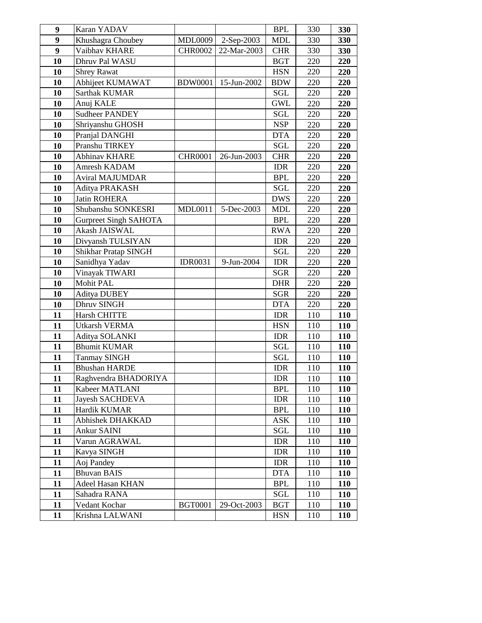| 9        | Karan YADAV                            |                |             | <b>BPL</b>               | 330        | 330        |
|----------|----------------------------------------|----------------|-------------|--------------------------|------------|------------|
| 9        | Khushagra Choubey                      | MDL0009        | 2-Sep-2003  | <b>MDL</b>               | 330        | 330        |
| 9        | Vaibhav KHARE                          | <b>CHR0002</b> | 22-Mar-2003 | <b>CHR</b>               | 330        | 330        |
| 10       | Dhruv Pal WASU                         |                |             | <b>BGT</b>               | 220        | 220        |
| 10       | <b>Shrey Rawat</b>                     |                |             | <b>HSN</b>               | 220        | 220        |
| 10       | Abhijeet KUMAWAT                       | <b>BDW0001</b> | 15-Jun-2002 | <b>BDW</b>               | 220        | 220        |
| 10       | <b>Sarthak KUMAR</b>                   |                |             | <b>SGL</b>               | 220        | 220        |
| 10       | Anuj KALE                              |                |             | <b>GWL</b>               | 220        | 220        |
| 10       | <b>Sudheer PANDEY</b>                  |                |             | SGL                      | 220        | 220        |
| 10       | Shriyanshu GHOSH                       |                |             | <b>NSP</b>               | 220        | 220        |
| 10       | Pranjal DANGHI                         |                |             | <b>DTA</b>               | 220        | 220        |
| 10       | Pranshu TIRKEY                         |                |             | SGL                      | 220        | 220        |
| 10       | Abhinav KHARE                          | <b>CHR0001</b> | 26-Jun-2003 | <b>CHR</b>               | 220        | 220        |
| 10       | Amresh KADAM                           |                |             | <b>IDR</b>               | 220        | 220        |
| 10       | Aviral MAJUMDAR                        |                |             | <b>BPL</b>               | 220        | 220        |
| 10       | Aditya PRAKASH                         |                |             | SGL                      | 220        | 220        |
| 10       | Jatin ROHERA                           |                |             | <b>DWS</b>               | 220        | 220        |
| 10       | Shubanshu SONKESRI                     | <b>MDL0011</b> | 5-Dec-2003  | <b>MDL</b>               | 220        | 220        |
| 10       | <b>Gurpreet Singh SAHOTA</b>           |                |             | <b>BPL</b>               | 220        | 220        |
| 10       | Akash JAISWAL                          |                |             | <b>RWA</b>               | 220        | 220        |
| 10       | Divyansh TULSIYAN                      |                |             | <b>IDR</b>               | 220        | 220        |
| 10       | Shikhar Pratap SINGH                   |                |             | SGL                      | 220        | 220        |
| 10       | Sanidhya Yadav                         | <b>IDR0031</b> | 9-Jun-2004  | <b>IDR</b>               | 220        | 220        |
| 10       | Vinayak TIWARI                         |                |             | <b>SGR</b>               | 220        | 220        |
| 10       | Mohit PAL                              |                |             | <b>DHR</b>               | 220        | 220        |
| 10       | <b>Aditya DUBEY</b>                    |                |             | <b>SGR</b>               | 220        | 220        |
| 10       | Dhruv SINGH                            |                |             | <b>DTA</b>               | 220        | 220        |
| 11       | <b>Harsh CHITTE</b>                    |                |             | <b>IDR</b>               | 110        | 110        |
| 11       | Utkarsh VERMA                          |                |             | <b>HSN</b>               | 110        | 110        |
| 11       | Aditya SOLANKI                         |                |             | <b>IDR</b>               | 110        | 110        |
| 11       | <b>Bhumit KUMAR</b>                    |                |             | SGL                      | 110        | 110        |
| 11       | <b>Tanmay SINGH</b>                    |                |             | <b>SGL</b>               | 110        | 110        |
| 11       | <b>Bhushan HARDE</b>                   |                |             | <b>IDR</b>               | 110        | 110        |
| 11       | Raghvendra BHADORIYA<br>Kabeer MATLANI |                |             | <b>IDR</b><br><b>BPL</b> | 110        | <b>110</b> |
| 11<br>11 | Jayesh SACHDEVA                        |                |             | <b>IDR</b>               | 110<br>110 | 110<br>110 |
| 11       | Hardik KUMAR                           |                |             | <b>BPL</b>               | 110        | <b>110</b> |
| 11       | Abhishek DHAKKAD                       |                |             | <b>ASK</b>               | 110        | <b>110</b> |
| 11       | Ankur SAINI                            |                |             | $\operatorname{SGL}$     | 110        | <b>110</b> |
| 11       | Varun AGRAWAL                          |                |             | <b>IDR</b>               | 110        | 110        |
| 11       | Kavya SINGH                            |                |             | <b>IDR</b>               | 110        | <b>110</b> |
| 11       | Aoj Pandey                             |                |             | <b>IDR</b>               | 110        | <b>110</b> |
| 11       | <b>Bhuvan BAIS</b>                     |                |             | <b>DTA</b>               | 110        | 110        |
| 11       | Adeel Hasan KHAN                       |                |             | <b>BPL</b>               | 110        | <b>110</b> |
| 11       | Sahadra RANA                           |                |             | SGL                      | 110        | 110        |
| 11       | Vedant Kochar                          | <b>BGT0001</b> | 29-Oct-2003 | <b>BGT</b>               | 110        | <b>110</b> |
| 11       | Krishna LALWANI                        |                |             | <b>HSN</b>               | 110        | <b>110</b> |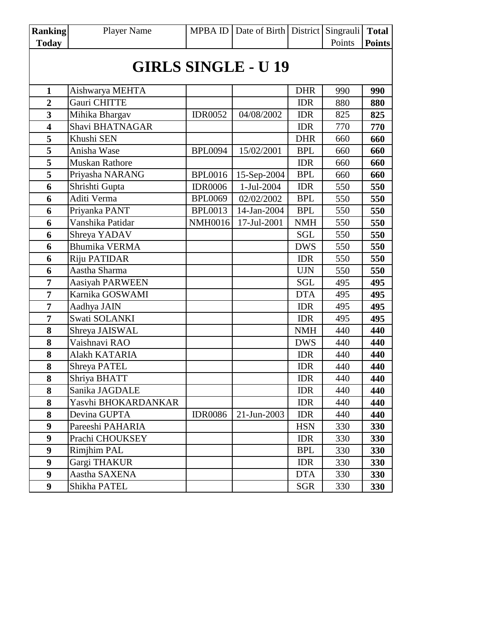| <b>Ranking</b>          | <b>Player Name</b>         |                | MPBA ID   Date of Birth   District |            | Singrauli | <b>Total</b>  |  |  |  |  |
|-------------------------|----------------------------|----------------|------------------------------------|------------|-----------|---------------|--|--|--|--|
| <b>Today</b>            |                            |                |                                    |            | Points    | <b>Points</b> |  |  |  |  |
|                         | <b>GIRLS SINGLE - U 19</b> |                |                                    |            |           |               |  |  |  |  |
| 1                       | Aishwarya MEHTA            |                |                                    | <b>DHR</b> | 990       | 990           |  |  |  |  |
| $\overline{2}$          | Gauri CHITTE               |                |                                    | <b>IDR</b> | 880       | 880           |  |  |  |  |
| $\mathbf{3}$            | Mihika Bhargav             | <b>IDR0052</b> | 04/08/2002                         | <b>IDR</b> | 825       | 825           |  |  |  |  |
| $\overline{\mathbf{4}}$ | Shavi BHATNAGAR            |                |                                    | <b>IDR</b> | 770       | 770           |  |  |  |  |
| 5                       | Khushi SEN                 |                |                                    | <b>DHR</b> | 660       | 660           |  |  |  |  |
| 5                       | Anisha Wase                | <b>BPL0094</b> | 15/02/2001                         | <b>BPL</b> | 660       | 660           |  |  |  |  |
| 5                       | <b>Muskan Rathore</b>      |                |                                    | <b>IDR</b> | 660       | 660           |  |  |  |  |
| 5                       | Priyasha NARANG            | <b>BPL0016</b> | 15-Sep-2004                        | <b>BPL</b> | 660       | 660           |  |  |  |  |
| 6                       | Shrishti Gupta             | <b>IDR0006</b> | 1-Jul-2004                         | <b>IDR</b> | 550       | 550           |  |  |  |  |
| 6                       | Aditi Verma                | <b>BPL0069</b> | 02/02/2002                         | <b>BPL</b> | 550       | 550           |  |  |  |  |
| 6                       | Priyanka PANT              | <b>BPL0013</b> | 14-Jan-2004                        | <b>BPL</b> | 550       | 550           |  |  |  |  |
| 6                       | Vanshika Patidar           | <b>NMH0016</b> | 17-Jul-2001                        | <b>NMH</b> | 550       | 550           |  |  |  |  |
| 6                       | Shreya YADAV               |                |                                    | <b>SGL</b> | 550       | 550           |  |  |  |  |
| 6                       | <b>Bhumika VERMA</b>       |                |                                    | <b>DWS</b> | 550       | 550           |  |  |  |  |
| 6                       | Riju PATIDAR               |                |                                    | <b>IDR</b> | 550       | 550           |  |  |  |  |
| 6                       | Aastha Sharma              |                |                                    | <b>UJN</b> | 550       | 550           |  |  |  |  |
| $\overline{7}$          | <b>Aasiyah PARWEEN</b>     |                |                                    | <b>SGL</b> | 495       | 495           |  |  |  |  |
| $\overline{7}$          | Karnika GOSWAMI            |                |                                    | <b>DTA</b> | 495       | 495           |  |  |  |  |
| $\overline{7}$          | Aadhya JAIN                |                |                                    | IDR        | 495       | 495           |  |  |  |  |
| $\overline{7}$          | Swati SOLANKI              |                |                                    | <b>IDR</b> | 495       | 495           |  |  |  |  |
| 8                       | Shreya JAISWAL             |                |                                    | <b>NMH</b> | 440       | 440           |  |  |  |  |
| 8                       | Vaishnavi RAO              |                |                                    | <b>DWS</b> | 440       | 440           |  |  |  |  |
| 8                       | Alakh KATARIA              |                |                                    | <b>IDR</b> | 440       | 440           |  |  |  |  |
| 8                       | <b>Shreya PATEL</b>        |                |                                    | <b>IDR</b> | 440       | 440           |  |  |  |  |
| 8                       | Shriya BHATT               |                |                                    | <b>IDR</b> | 440       | 440           |  |  |  |  |
| 8                       | Sanika JAGDALE             |                |                                    | <b>IDR</b> | 440       | 440           |  |  |  |  |
| 8                       | Yasvhi BHOKARDANKAR        |                |                                    | <b>IDR</b> | 440       | 440           |  |  |  |  |
| 8                       | Devina GUPTA               | <b>IDR0086</b> | 21-Jun-2003                        | IDR        | 440       | 440           |  |  |  |  |
| 9                       | Pareeshi PAHARIA           |                |                                    | <b>HSN</b> | 330       | 330           |  |  |  |  |
| $\boldsymbol{9}$        | Prachi CHOUKSEY            |                |                                    | <b>IDR</b> | 330       | 330           |  |  |  |  |
| 9                       | <b>Rimjhim PAL</b>         |                |                                    | <b>BPL</b> | 330       | 330           |  |  |  |  |
| $\boldsymbol{9}$        | Gargi THAKUR               |                |                                    | <b>IDR</b> | 330       | 330           |  |  |  |  |
| 9                       | Aastha SAXENA              |                |                                    | <b>DTA</b> | 330       | 330           |  |  |  |  |
| $\boldsymbol{9}$        | Shikha PATEL               |                |                                    | <b>SGR</b> | 330       | 330           |  |  |  |  |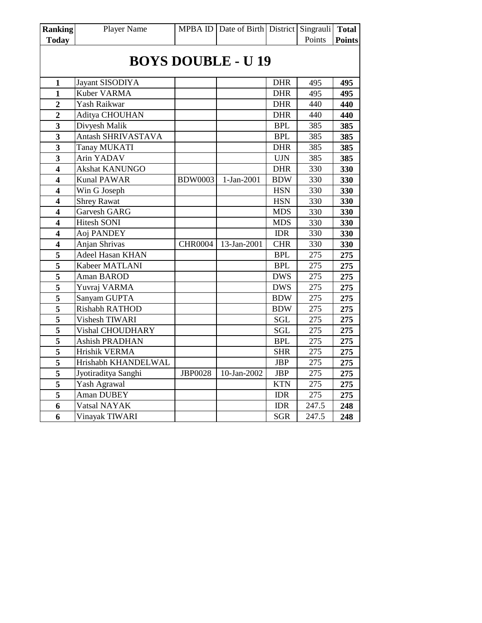| <b>Ranking</b>            | Player Name             |                | MPBA ID   Date of Birth   District   Singrauli |            |        | <b>Total</b>  |  |  |  |  |
|---------------------------|-------------------------|----------------|------------------------------------------------|------------|--------|---------------|--|--|--|--|
| <b>Today</b>              |                         |                |                                                |            | Points | <b>Points</b> |  |  |  |  |
| <b>BOYS DOUBLE - U 19</b> |                         |                |                                                |            |        |               |  |  |  |  |
| 1                         | Jayant SISODIYA         |                |                                                | <b>DHR</b> | 495    | 495           |  |  |  |  |
| 1                         | Kuber VARMA             |                |                                                | <b>DHR</b> | 495    | 495           |  |  |  |  |
| $\overline{2}$            | Yash Raikwar            |                |                                                | <b>DHR</b> | 440    | 440           |  |  |  |  |
| $\overline{2}$            | Aditya CHOUHAN          |                |                                                | <b>DHR</b> | 440    | 440           |  |  |  |  |
| 3                         | Divyesh Malik           |                |                                                | <b>BPL</b> | 385    | 385           |  |  |  |  |
| $\overline{\mathbf{3}}$   | Antash SHRIVASTAVA      |                |                                                | <b>BPL</b> | 385    | 385           |  |  |  |  |
| 3                         | <b>Tanay MUKATI</b>     |                |                                                | <b>DHR</b> | 385    | 385           |  |  |  |  |
| 3                         | Arin YADAV              |                |                                                | <b>UJN</b> | 385    | 385           |  |  |  |  |
| $\overline{\mathbf{4}}$   | <b>Akshat KANUNGO</b>   |                |                                                | <b>DHR</b> | 330    | 330           |  |  |  |  |
| 4                         | <b>Kunal PAWAR</b>      | <b>BDW0003</b> | 1-Jan-2001                                     | <b>BDW</b> | 330    | 330           |  |  |  |  |
| $\overline{\mathbf{4}}$   | Win G Joseph            |                |                                                | <b>HSN</b> | 330    | 330           |  |  |  |  |
| 4                         | <b>Shrey Rawat</b>      |                |                                                | <b>HSN</b> | 330    | 330           |  |  |  |  |
| $\overline{\mathbf{4}}$   | Garvesh GARG            |                |                                                | <b>MDS</b> | 330    | 330           |  |  |  |  |
| 4                         | <b>Hitesh SONI</b>      |                |                                                | <b>MDS</b> | 330    | 330           |  |  |  |  |
| $\overline{\mathbf{4}}$   | Aoj PANDEY              |                |                                                | <b>IDR</b> | 330    | 330           |  |  |  |  |
| $\overline{\mathbf{4}}$   | Anjan Shrivas           | <b>CHR0004</b> | 13-Jan-2001                                    | <b>CHR</b> | 330    | 330           |  |  |  |  |
| 5                         | <b>Adeel Hasan KHAN</b> |                |                                                | <b>BPL</b> | 275    | 275           |  |  |  |  |
| 5                         | Kabeer MATLANI          |                |                                                | <b>BPL</b> | 275    | 275           |  |  |  |  |
| 5                         | Aman BAROD              |                |                                                | <b>DWS</b> | 275    | 275           |  |  |  |  |
| 5                         | Yuvraj VARMA            |                |                                                | <b>DWS</b> | 275    | 275           |  |  |  |  |
| 5                         | Sanyam GUPTA            |                |                                                | <b>BDW</b> | 275    | 275           |  |  |  |  |
| $\overline{\mathbf{5}}$   | Rishabh RATHOD          |                |                                                | <b>BDW</b> | 275    | 275           |  |  |  |  |
| 5                         | Vishesh TIWARI          |                |                                                | <b>SGL</b> | 275    | 275           |  |  |  |  |
| 5                         | Vishal CHOUDHARY        |                |                                                | <b>SGL</b> | 275    | 275           |  |  |  |  |
| 5                         | <b>Ashish PRADHAN</b>   |                |                                                | <b>BPL</b> | 275    | 275           |  |  |  |  |
| $\overline{\mathbf{5}}$   | Hrishik VERMA           |                |                                                | <b>SHR</b> | 275    | 275           |  |  |  |  |
| 5                         | Hrishabh KHANDELWAL     |                |                                                | <b>JBP</b> | 275    | 275           |  |  |  |  |
| 5                         | Jyotiraditya Sanghi     | <b>JBP0028</b> | 10-Jan-2002                                    | <b>JBP</b> | 275    | 275           |  |  |  |  |
| 5                         | Yash Agrawal            |                |                                                | <b>KTN</b> | 275    | 275           |  |  |  |  |
| $\overline{\mathbf{5}}$   | Aman DUBEY              |                |                                                | <b>IDR</b> | 275    | 275           |  |  |  |  |
| 6                         | Vatsal NAYAK            |                |                                                | <b>IDR</b> | 247.5  | 248           |  |  |  |  |
| $\overline{6}$            | Vinayak TIWARI          |                |                                                | <b>SGR</b> | 247.5  | 248           |  |  |  |  |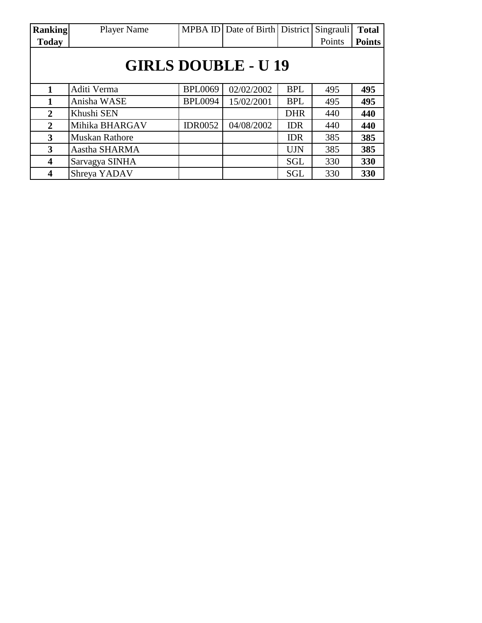| <b>Ranking</b>             | <b>Player Name</b>    |                | MPBA ID Date of Birth District |            | Singrauli | <b>Total</b>  |  |  |  |
|----------------------------|-----------------------|----------------|--------------------------------|------------|-----------|---------------|--|--|--|
| <b>Today</b>               |                       |                |                                |            | Points    | <b>Points</b> |  |  |  |
| <b>GIRLS DOUBLE - U 19</b> |                       |                |                                |            |           |               |  |  |  |
|                            | Aditi Verma           | <b>BPL0069</b> | 02/02/2002                     | <b>BPL</b> | 495       | 495           |  |  |  |
| 1                          | Anisha WASE           | <b>BPL0094</b> | 15/02/2001                     | <b>BPL</b> | 495       | 495           |  |  |  |
| $\overline{2}$             | Khushi SEN            |                |                                | <b>DHR</b> | 440       | 440           |  |  |  |
| $\overline{2}$             | Mihika BHARGAV        | <b>IDR0052</b> | 04/08/2002                     | <b>IDR</b> | 440       | 440           |  |  |  |
| 3                          | <b>Muskan Rathore</b> |                |                                | <b>IDR</b> | 385       | 385           |  |  |  |
| 3                          | Aastha SHARMA         |                |                                | <b>UJN</b> | 385       | 385           |  |  |  |
| 4                          | Sarvagya SINHA        |                |                                | <b>SGL</b> | 330       | 330           |  |  |  |
| $\boldsymbol{4}$           | Shreya YADAV          |                |                                | <b>SGL</b> | 330       | 330           |  |  |  |